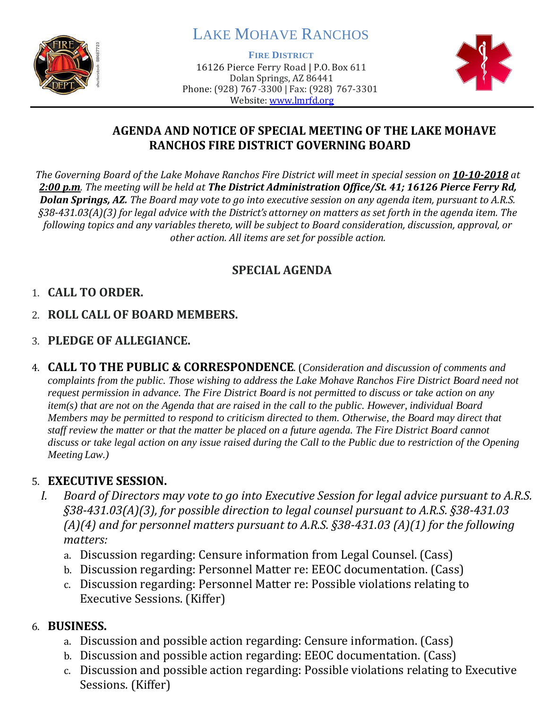

# LAKE MOHAVE RANCHOS

**FIRE DISTRICT**

16126 Pierce Ferry Road | P.O. Box 611 Dolan Springs, AZ 86441 Phone: (928) 767-3300 | Fax: (928) 767-3301 Website: [www.lmrfd.org](http://www.lmrfd.org/)



## **AGENDA AND NOTICE OF SPECIAL MEETING OF THE LAKE MOHAVE RANCHOS FIRE DISTRICT GOVERNING BOARD**

*The Governing Board of the Lake Mohave Ranchos Fire District will meet in special session on 10-10-2018 at 2:00 p.m. The meeting will be held at The District Administration Office/St. 41; 16126 Pierce Ferry Rd, Dolan Springs, AZ. The Board may vote to go into executive session on any agenda item, pursuant to A.R.S. §38-431.03(A)(3) for legal advice with the District's attorney on matters as set forth in the agenda item. The following topics and any variables thereto, will be subject to Board consideration, discussion, approval, or other action. All items are set for possible action.*

## **SPECIAL AGENDA**

## 1. **CALL TO ORDER.**

## 2. **ROLL CALL OF BOARD MEMBERS.**

- 3. **PLEDGE OF ALLEGIANCE.**
- 4. **CALL TO THE PUBLIC & CORRESPONDENCE**. (*Consideration and discussion of comments and complaints from the public. Those wishing to address the Lake Mohave Ranchos Fire District Board need not request permission in advance. The Fire District Board is not permitted to discuss or take action on any item(s) that are not on the Agenda that are raised in the call to the public. However, individual Board Members may be permitted to respond to criticism directed to them. Otherwise, the Board may direct that staff review the matter or that the matter be placed on a future agenda. The Fire District Board cannot discuss or take legal action on any issue raised during the Call to the Public due to restriction of the Opening Meeting Law.)*

## 5. **EXECUTIVE SESSION.**

- *I. Board of Directors may vote to go into Executive Session for legal advice pursuant to A.R.S. §38-431.03(A)(3), for possible direction to legal counsel pursuant to A.R.S. §38-431.03 (A)(4) and for personnel matters pursuant to A.R.S. §38-431.03 (A)(1) for the following matters:*
	- a. Discussion regarding: Censure information from Legal Counsel. (Cass)
	- b. Discussion regarding: Personnel Matter re: EEOC documentation. (Cass)
	- c. Discussion regarding: Personnel Matter re: Possible violations relating to Executive Sessions. (Kiffer)

### 6. **BUSINESS.**

- a. Discussion and possible action regarding: Censure information. (Cass)
- b. Discussion and possible action regarding: EEOC documentation. (Cass)
- c. Discussion and possible action regarding: Possible violations relating to Executive Sessions. (Kiffer)